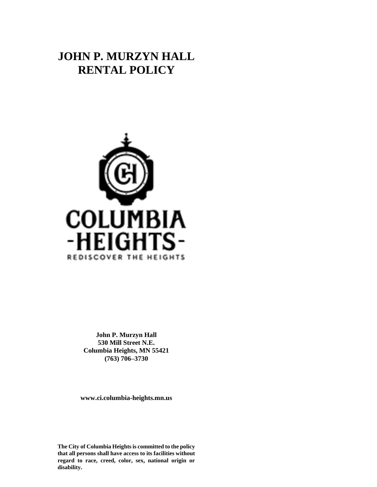# **JOHN P. MURZYN HALL RENTAL POLICY**



**John P. Murzyn Hall 530 Mill Street N.E. Columbia Heights, MN 55421 (763) 706–3730**

**www.ci.columbia-heights.mn.us**

**The City of Columbia Heights is committed to the policy that all persons shall have access to its facilities without regard to race, creed, color, sex, national origin or disability.**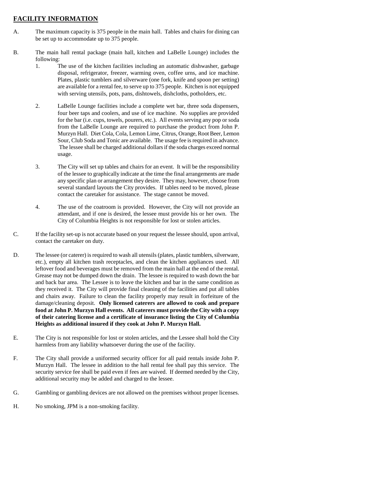## **FACILITY INFORMATION**

- A. The maximum capacity is 375 people in the main hall. Tables and chairs for dining can be set up to accommodate up to 375 people.
- B. The main hall rental package (main hall, kitchen and LaBelle Lounge) includes the following:
	- 1. The use of the kitchen facilities including an automatic dishwasher, garbage disposal, refrigerator, freezer, warming oven, coffee urns, and ice machine. Plates, plastic tumblers and silverware (one fork, knife and spoon per setting) are available for a rental fee, to serve up to 375 people. Kitchen is not equipped with serving utensils, pots, pans, dishtowels, dishcloths, potholders, etc.
	- 2. LaBelle Lounge facilities include a complete wet bar, three soda dispensers, four beer taps and coolers, and use of ice machine. No supplies are provided for the bar (i.e. cups, towels, pourers, etc.). All events serving any pop or soda from the LaBelle Lounge are required to purchase the product from John P. Murzyn Hall. Diet Cola, Cola, Lemon Lime, Citrus, Orange, Root Beer, Lemon Sour, Club Soda and Tonic are available. The usage fee is required in advance. The lessee shall be charged additional dollars if the soda charges exceed normal usage.
	- 3. The City will set up tables and chairs for an event. It will be the responsibility of the lessee to graphically indicate at the time the final arrangements are made any specific plan or arrangement they desire. They may, however, choose from several standard layouts the City provides. If tables need to be moved, please contact the caretaker for assistance. The stage cannot be moved.
	- 4. The use of the coatroom is provided. However, the City will not provide an attendant, and if one is desired, the lessee must provide his or her own. The City of Columbia Heights is not responsible for lost or stolen articles.
- C. If the facility set-up is not accurate based on your request the lessee should, upon arrival, contact the caretaker on duty.
- D. The lessee (or caterer) is required to wash all utensils (plates, plastic tumblers, silverware, etc.), empty all kitchen trash receptacles, and clean the kitchen appliances used. All leftover food and beverages must be removed from the main hall at the end of the rental. Grease may not be dumped down the drain. The lessee is required to wash down the bar and back bar area. The Lessee is to leave the kitchen and bar in the same condition as they received it. The City will provide final cleaning of the facilities and put all tables and chairs away. Failure to clean the facility properly may result in forfeiture of the damage/cleaning deposit. **Only licensed caterers are allowed to cook and prepare food at John P. Murzyn Hall events. All caterers must provide the City with a copy of their catering license and a certificate of insurance listing the City of Columbia Heights as additional insured if they cook at John P. Murzyn Hall.**
- E. The City is not responsible for lost or stolen articles, and the Lessee shall hold the City harmless from any liability whatsoever during the use of the facility.
- F. The City shall provide a uniformed security officer for all paid rentals inside John P. Murzyn Hall. The lessee in addition to the hall rental fee shall pay this service. The security service fee shall be paid even if fees are waived. If deemed needed by the City, additional security may be added and charged to the lessee.
- G. Gambling or gambling devices are not allowed on the premises without proper licenses.
- H. No smoking, JPM is a non-smoking facility.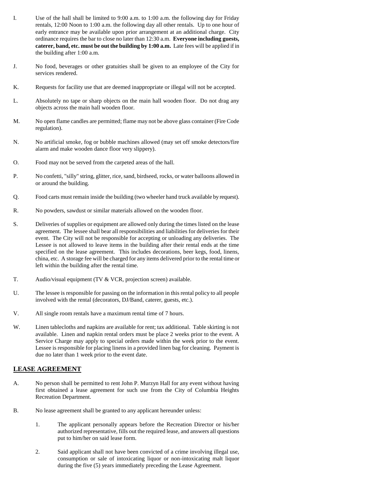- I. Use of the hall shall be limited to 9:00 a.m. to 1:00 a.m. the following day for Friday rentals, 12:00 Noon to 1:00 a.m. the following day all other rentals. Up to one hour of early entrance may be available upon prior arrangement at an additional charge. City ordinance requires the bar to close no later than 12:30 a.m. **Everyone including guests, caterer, band, etc. must be out the building by 1:00 a.m.** Late fees will be applied if in the building after 1:00 a.m.
- J. No food, beverages or other gratuities shall be given to an employee of the City for services rendered.
- K. Requests for facility use that are deemed inappropriate or illegal will not be accepted.
- L. Absolutely no tape or sharp objects on the main hall wooden floor. Do not drag any objects across the main hall wooden floor.
- M. No open flame candles are permitted; flame may not be above glass container (Fire Code regulation).
- N. No artificial smoke, fog or bubble machines allowed (may set off smoke detectors/fire alarm and make wooden dance floor very slippery).
- O. Food may not be served from the carpeted areas of the hall.
- P. No confetti, "silly" string, glitter, rice, sand, birdseed, rocks, or water balloons allowed in or around the building.
- Q. Food carts must remain inside the building (two wheeler hand truck available by request).
- R. No powders, sawdust or similar materials allowed on the wooden floor.
- S. Deliveries of supplies or equipment are allowed only during the times listed on the lease agreement. The lessee shall bear all responsibilities and liabilities for deliveries for their event. The City will not be responsible for accepting or unloading any deliveries. The Lessee is not allowed to leave items in the building after their rental ends at the time specified on the lease agreement. This includes decorations, beer kegs, food, linens, china, etc. A storage fee will be charged for any items delivered prior to the rental time or left within the building after the rental time.
- T. Audio/visual equipment (TV & VCR, projection screen) available.
- U. The lessee is responsible for passing on the information in this rental policy to all people involved with the rental (decorators, DJ/Band, caterer, guests, etc.).
- V. All single room rentals have a maximum rental time of 7 hours.
- W. Linen tablecloths and napkins are available for rent; tax additional. Table skirting is not available. Linen and napkin rental orders must be place 2 weeks prior to the event. A Service Charge may apply to special orders made within the week prior to the event. Lessee is responsible for placing linens in a provided linen bag for cleaning. Payment is due no later than 1 week prior to the event date.

## **LEASE AGREEMENT**

- A. No person shall be permitted to rent John P. Murzyn Hall for any event without having first obtained a lease agreement for such use from the City of Columbia Heights Recreation Department.
- B. No lease agreement shall be granted to any applicant hereunder unless:
	- 1. The applicant personally appears before the Recreation Director or his/her authorized representative, fills out the required lease, and answers all questions put to him/her on said lease form.
	- 2. Said applicant shall not have been convicted of a crime involving illegal use, consumption or sale of intoxicating liquor or non-intoxicating malt liquor during the five (5) years immediately preceding the Lease Agreement.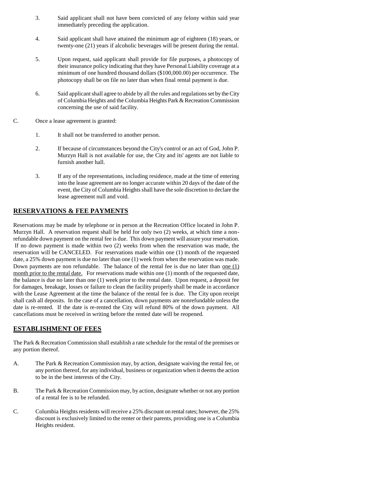- 3. Said applicant shall not have been convicted of any felony within said year immediately preceding the application.
- 4. Said applicant shall have attained the minimum age of eighteen (18) years, or twenty-one (21) years if alcoholic beverages will be present during the rental.
- 5. Upon request, said applicant shall provide for file purposes, a photocopy of their insurance policy indicating that they have Personal Liability coverage at a minimum of one hundred thousand dollars (\$100,000.00) per occurrence. The photocopy shall be on file no later than when final rental payment is due.
- 6. Said applicant shall agree to abide by all the rules and regulations set by the City of Columbia Heights and the Columbia Heights Park & Recreation Commission concerning the use of said facility.
- C. Once a lease agreement is granted:
	- 1. It shall not be transferred to another person.
	- 2. If because of circumstances beyond the City's control or an act of God, John P. Murzyn Hall is not available for use, the City and its' agents are not liable to furnish another hall.
	- 3. If any of the representations, including residence, made at the time of entering into the lease agreement are no longer accurate within 20 days of the date of the event, the City of Columbia Heights shall have the sole discretion to declare the lease agreement null and void.

# **RESERVATIONS & FEE PAYMENTS**

Reservations may be made by telephone or in person at the Recreation Office located in John P. Murzyn Hall. A reservation request shall be held for only two (2) weeks, at which time a nonrefundable down payment on the rental fee is due. This down payment will assure your reservation. If no down payment is made within two (2) weeks from when the reservation was made, the reservation will be CANCELED. For reservations made within one (1) month of the requested date, a 25% down payment is due no later than one (1) week from when the reservation was made. Down payments are non refundable. The balance of the rental fee is due no later than one (1) month prior to the rental date. For reservations made within one (1) month of the requested date, the balance is due no later than one (1) week prior to the rental date. Upon request, a deposit fee for damages, breakage, losses or failure to clean the facility properly shall be made in accordance with the Lease Agreement at the time the balance of the rental fee is due. The City upon receipt shall cash all deposits. In the case of a cancellation, down payments are nonrefundable unless the date is re-rented. If the date is re-rented the City will refund 80% of the down payment. All cancellations must be received in writing before the rented date will be reopened.

#### **ESTABLISHMENT OF FEES**

The Park & Recreation Commission shall establish a rate schedule for the rental of the premises or any portion thereof.

- A. The Park & Recreation Commission may, by action, designate waiving the rental fee, or any portion thereof, for any individual, business or organization when it deems the action to be in the best interests of the City.
- B. The Park & Recreation Commission may, by action, designate whether or not any portion of a rental fee is to be refunded.
- C. Columbia Heights residents will receive a 25% discount on rental rates; however, the 25% discount is exclusively limited to the renter or their parents, providing one is a Columbia Heights resident.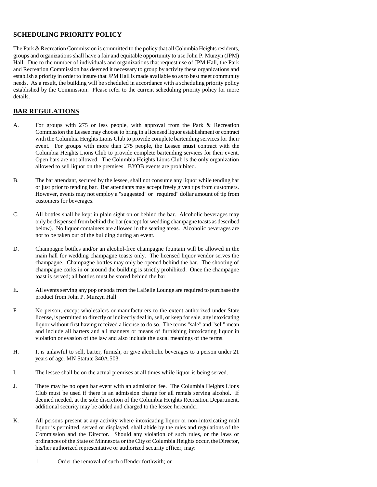## **SCHEDULING PRIORITY POLICY**

The Park & Recreation Commission is committed to the policy that all Columbia Heights residents, groups and organizations shall have a fair and equitable opportunity to use John P. Murzyn (JPM) Hall. Due to the number of individuals and organizations that request use of JPM Hall, the Park and Recreation Commission has deemed it necessary to group by activity these organizations and establish a priority in order to insure that JPM Hall is made available so as to best meet community needs. As a result, the building will be scheduled in accordance with a scheduling priority policy established by the Commission. Please refer to the current scheduling priority policy for more details.

# **BAR REGULATIONS**

- A. For groups with 275 or less people, with approval from the Park & Recreation Commission the Lessee may choose to bring in a licensed liquor establishment or contract with the Columbia Heights Lions Club to provide complete bartending services for their event. For groups with more than 275 people, the Lessee **must** contract with the Columbia Heights Lions Club to provide complete bartending services for their event. Open bars are not allowed. The Columbia Heights Lions Club is the only organization allowed to sell liquor on the premises. BYOB events are prohibited.
- B. The bar attendant, secured by the lessee, shall not consume any liquor while tending bar or just prior to tending bar. Bar attendants may accept freely given tips from customers. However, events may not employ a "suggested" or "required" dollar amount of tip from customers for beverages.
- C. All bottles shall be kept in plain sight on or behind the bar. Alcoholic beverages may only be dispensed from behind the bar (except for wedding champagne toasts as described below). No liquor containers are allowed in the seating areas. Alcoholic beverages are not to be taken out of the building during an event.
- D. Champagne bottles and/or an alcohol-free champagne fountain will be allowed in the main hall for wedding champagne toasts only. The licensed liquor vendor serves the champagne. Champagne bottles may only be opened behind the bar. The shooting of champagne corks in or around the building is strictly prohibited. Once the champagne toast is served; all bottles must be stored behind the bar.
- E. All events serving any pop or soda from the LaBelle Lounge are required to purchase the product from John P. Murzyn Hall.
- F. No person, except wholesalers or manufacturers to the extent authorized under State license, is permitted to directly or indirectly deal in, sell, or keep for sale, any intoxicating liquor without first having received a license to do so. The terms "sale" and "sell" mean and include all barters and all manners or means of furnishing intoxicating liquor in violation or evasion of the law and also include the usual meanings of the terms.
- H. It is unlawful to sell, barter, furnish, or give alcoholic beverages to a person under 21 years of age. MN Statute 340A.503.
- I. The lessee shall be on the actual premises at all times while liquor is being served.
- J. There may be no open bar event with an admission fee. The Columbia Heights Lions Club must be used if there is an admission charge for all rentals serving alcohol. If deemed needed, at the sole discretion of the Columbia Heights Recreation Department, additional security may be added and charged to the lessee hereunder.
- K. All persons present at any activity where intoxicating liquor or non-intoxicating malt liquor is permitted, served or displayed, shall abide by the rules and regulations of the Commission and the Director. Should any violation of such rules, or the laws or ordinances of the State of Minnesota or the City of Columbia Heights occur, the Director, his/her authorized representative or authorized security officer, may:
	- 1. Order the removal of such offender forthwith; or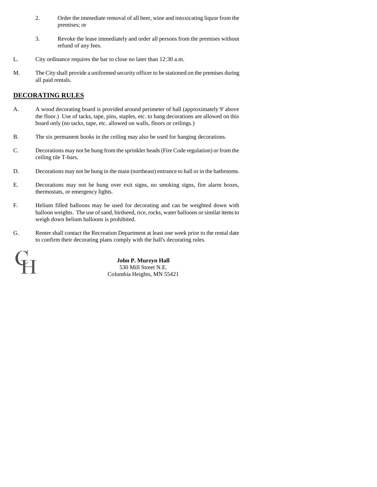- 2. Order the immediate removal of all beer, wine and intoxicating liquor from the premises; or
- 3. Revoke the lease immediately and order all persons from the premises without refund of any fees.
- L. City ordinance requires the bar to close no later than 12:30 a.m.
- M. The City shall provide a uniformed security officer to be stationed on the premises during all paid rentals.

## **DECORATING RULES**

- A. A wood decorating board is provided around perimeter of hall (approximately 9' above the floor.) Use of tacks, tape, pins, staples, etc. to hang decorations are allowed on this board only (no tacks, tape, etc. allowed on walls, floors or ceilings.)
- B. The six permanent hooks in the ceiling may also be used for hanging decorations.
- C. Decorations may not be hung from the sprinkler heads (Fire Code regulation) or from the ceiling tile T-bars.
- D. Decorations may not be hung in the main (northeast) entrance to hall or in the bathrooms.
- E. Decorations may not be hung over exit signs, no smoking signs, fire alarm boxes, thermostats, or emergency lights.
- F. Helium filled balloons may be used for decorating and can be weighted down with balloon weights. The use of sand, birdseed, rice, rocks, water balloons or similar items to weigh down helium balloons is prohibited.
- G. Renter shall contact the Recreation Department at least one week prior to the rental date to confirm their decorating plans comply with the hall's decorating rules.

| <b>COLLA</b> | - 2                                                  |
|--------------|------------------------------------------------------|
| ÷            | <b>Contract Contract</b><br><b>Contract Contract</b> |
| --<br>8      | $-1$<br>-57<br>53<br>$\frac{1}{2}$                   |

 **John P. Murzyn Hall** 530 Mill Street N.E. Columbia Heights, MN 55421